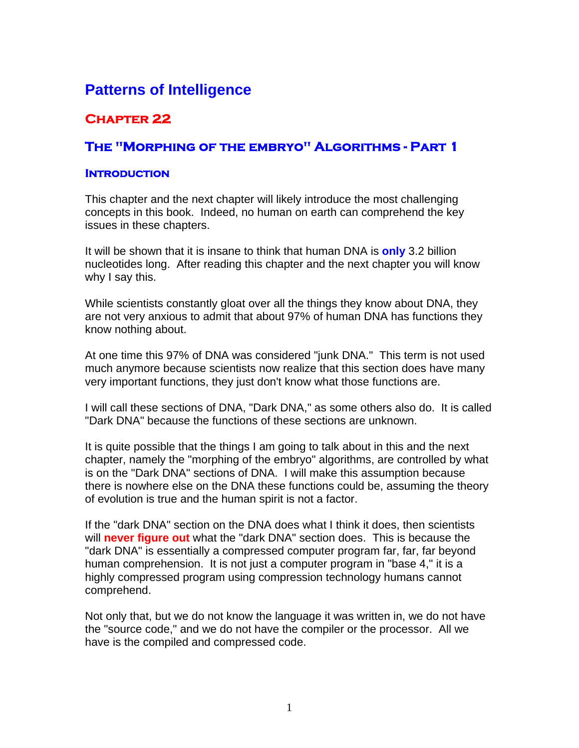# **Patterns of Intelligence**

# **Chapter 22**

# **The "Morphing of the embryo" Algorithms - Part 1**

#### **Introduction**

This chapter and the next chapter will likely introduce the most challenging concepts in this book. Indeed, no human on earth can comprehend the key issues in these chapters.

It will be shown that it is insane to think that human DNA is **only** 3.2 billion nucleotides long. After reading this chapter and the next chapter you will know why I say this.

While scientists constantly gloat over all the things they know about DNA, they are not very anxious to admit that about 97% of human DNA has functions they know nothing about.

At one time this 97% of DNA was considered "junk DNA." This term is not used much anymore because scientists now realize that this section does have many very important functions, they just don't know what those functions are.

I will call these sections of DNA, "Dark DNA," as some others also do. It is called "Dark DNA" because the functions of these sections are unknown.

It is quite possible that the things I am going to talk about in this and the next chapter, namely the "morphing of the embryo" algorithms, are controlled by what is on the "Dark DNA" sections of DNA. I will make this assumption because there is nowhere else on the DNA these functions could be, assuming the theory of evolution is true and the human spirit is not a factor.

If the "dark DNA" section on the DNA does what I think it does, then scientists will **never figure out** what the "dark DNA" section does. This is because the "dark DNA" is essentially a compressed computer program far, far, far beyond human comprehension. It is not just a computer program in "base 4," it is a highly compressed program using compression technology humans cannot comprehend.

Not only that, but we do not know the language it was written in, we do not have the "source code," and we do not have the compiler or the processor. All we have is the compiled and compressed code.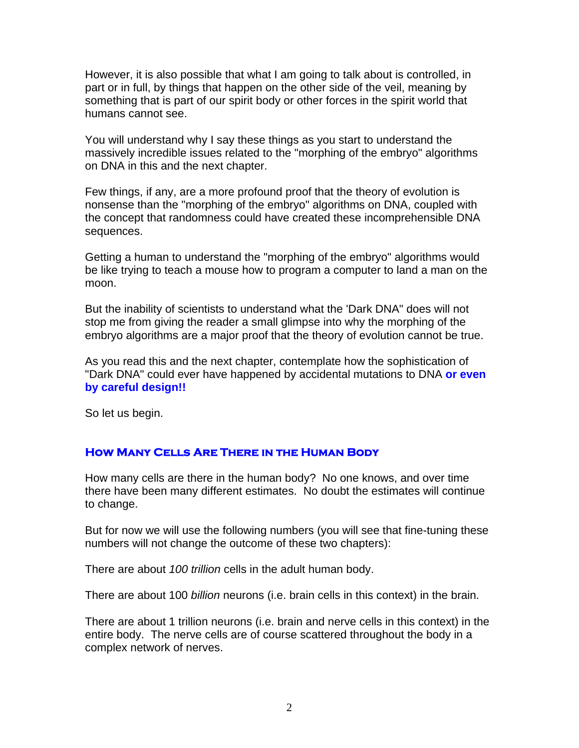However, it is also possible that what I am going to talk about is controlled, in part or in full, by things that happen on the other side of the veil, meaning by something that is part of our spirit body or other forces in the spirit world that humans cannot see.

You will understand why I say these things as you start to understand the massively incredible issues related to the "morphing of the embryo" algorithms on DNA in this and the next chapter.

Few things, if any, are a more profound proof that the theory of evolution is nonsense than the "morphing of the embryo" algorithms on DNA, coupled with the concept that randomness could have created these incomprehensible DNA sequences.

Getting a human to understand the "morphing of the embryo" algorithms would be like trying to teach a mouse how to program a computer to land a man on the moon.

But the inability of scientists to understand what the 'Dark DNA" does will not stop me from giving the reader a small glimpse into why the morphing of the embryo algorithms are a major proof that the theory of evolution cannot be true.

As you read this and the next chapter, contemplate how the sophistication of "Dark DNA" could ever have happened by accidental mutations to DNA **or even by careful design!!**

So let us begin.

### **How Many Cells Are There in the Human Body**

How many cells are there in the human body? No one knows, and over time there have been many different estimates. No doubt the estimates will continue to change.

But for now we will use the following numbers (you will see that fine-tuning these numbers will not change the outcome of these two chapters):

There are about *100 trillion* cells in the adult human body.

There are about 100 *billion* neurons (i.e. brain cells in this context) in the brain.

There are about 1 trillion neurons (i.e. brain and nerve cells in this context) in the entire body. The nerve cells are of course scattered throughout the body in a complex network of nerves.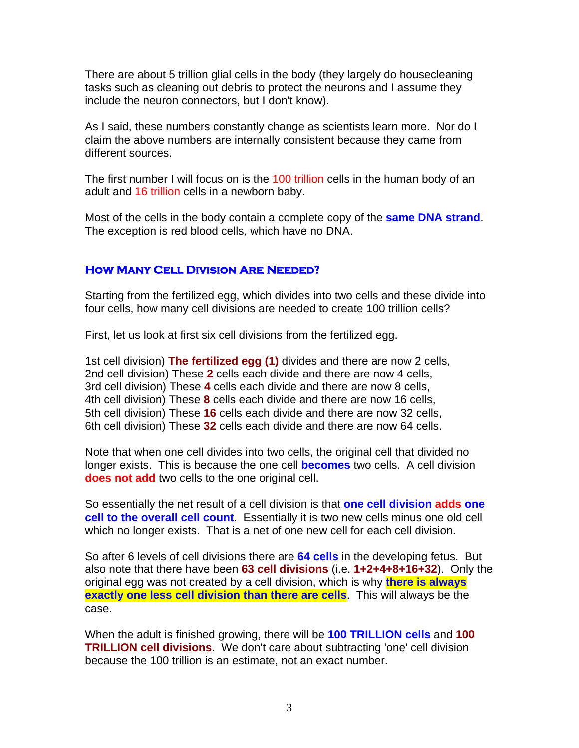There are about 5 trillion glial cells in the body (they largely do housecleaning tasks such as cleaning out debris to protect the neurons and I assume they include the neuron connectors, but I don't know).

As I said, these numbers constantly change as scientists learn more. Nor do I claim the above numbers are internally consistent because they came from different sources.

The first number I will focus on is the 100 trillion cells in the human body of an adult and 16 trillion cells in a newborn baby.

Most of the cells in the body contain a complete copy of the **same DNA strand**. The exception is red blood cells, which have no DNA.

#### **How Many Cell Division Are Needed?**

Starting from the fertilized egg, which divides into two cells and these divide into four cells, how many cell divisions are needed to create 100 trillion cells?

First, let us look at first six cell divisions from the fertilized egg.

1st cell division) **The fertilized egg (1)** divides and there are now 2 cells, 2nd cell division) These **2** cells each divide and there are now 4 cells, 3rd cell division) These **4** cells each divide and there are now 8 cells, 4th cell division) These **8** cells each divide and there are now 16 cells, 5th cell division) These **16** cells each divide and there are now 32 cells, 6th cell division) These **32** cells each divide and there are now 64 cells.

Note that when one cell divides into two cells, the original cell that divided no longer exists. This is because the one cell **becomes** two cells. A cell division **does not add** two cells to the one original cell.

So essentially the net result of a cell division is that **one cell division adds one cell to the overall cell count**. Essentially it is two new cells minus one old cell which no longer exists. That is a net of one new cell for each cell division.

So after 6 levels of cell divisions there are **64 cells** in the developing fetus. But also note that there have been **63 cell divisions** (i.e. **1+2+4+8+16+32**). Only the original egg was not created by a cell division, which is why **there is always exactly one less cell division than there are cells**. This will always be the case.

When the adult is finished growing, there will be **100 TRILLION cells** and **100 TRILLION cell divisions**. We don't care about subtracting 'one' cell division because the 100 trillion is an estimate, not an exact number.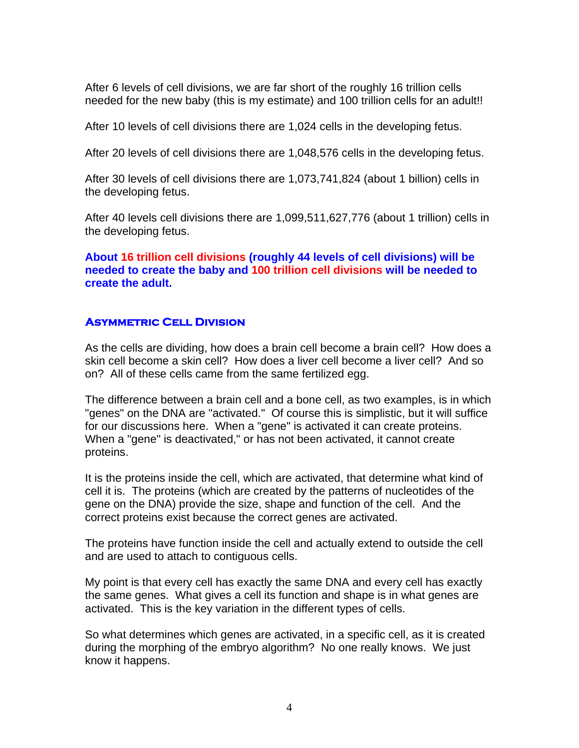After 6 levels of cell divisions, we are far short of the roughly 16 trillion cells needed for the new baby (this is my estimate) and 100 trillion cells for an adult!!

After 10 levels of cell divisions there are 1,024 cells in the developing fetus.

After 20 levels of cell divisions there are 1,048,576 cells in the developing fetus.

After 30 levels of cell divisions there are 1,073,741,824 (about 1 billion) cells in the developing fetus.

After 40 levels cell divisions there are 1,099,511,627,776 (about 1 trillion) cells in the developing fetus.

**About 16 trillion cell divisions (roughly 44 levels of cell divisions) will be needed to create the baby and 100 trillion cell divisions will be needed to create the adult.** 

## **Asymmetric Cell Division**

As the cells are dividing, how does a brain cell become a brain cell? How does a skin cell become a skin cell? How does a liver cell become a liver cell? And so on? All of these cells came from the same fertilized egg.

The difference between a brain cell and a bone cell, as two examples, is in which "genes" on the DNA are "activated." Of course this is simplistic, but it will suffice for our discussions here. When a "gene" is activated it can create proteins. When a "gene" is deactivated," or has not been activated, it cannot create proteins.

It is the proteins inside the cell, which are activated, that determine what kind of cell it is. The proteins (which are created by the patterns of nucleotides of the gene on the DNA) provide the size, shape and function of the cell. And the correct proteins exist because the correct genes are activated.

The proteins have function inside the cell and actually extend to outside the cell and are used to attach to contiguous cells.

My point is that every cell has exactly the same DNA and every cell has exactly the same genes. What gives a cell its function and shape is in what genes are activated. This is the key variation in the different types of cells.

So what determines which genes are activated, in a specific cell, as it is created during the morphing of the embryo algorithm? No one really knows. We just know it happens.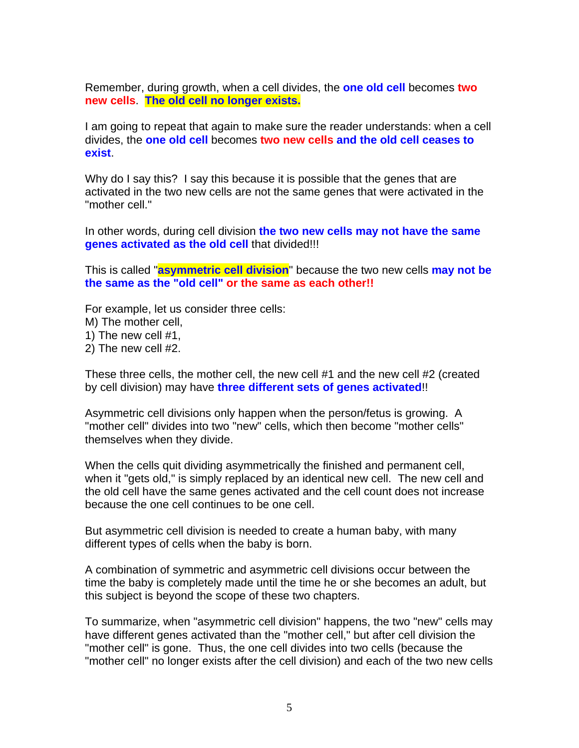Remember, during growth, when a cell divides, the **one old cell** becomes **two new cells**. **The old cell no longer exists.**

I am going to repeat that again to make sure the reader understands: when a cell divides, the **one old cell** becomes **two new cells and the old cell ceases to exist**.

Why do I say this? I say this because it is possible that the genes that are activated in the two new cells are not the same genes that were activated in the "mother cell."

In other words, during cell division **the two new cells may not have the same genes activated as the old cell** that divided!!!

This is called "**asymmetric cell division**" because the two new cells **may not be the same as the "old cell" or the same as each other!!**

For example, let us consider three cells:

M) The mother cell,

1) The new cell #1,

2) The new cell #2.

These three cells, the mother cell, the new cell #1 and the new cell #2 (created by cell division) may have **three different sets of genes activated**!!

Asymmetric cell divisions only happen when the person/fetus is growing. A "mother cell" divides into two "new" cells, which then become "mother cells" themselves when they divide.

When the cells quit dividing asymmetrically the finished and permanent cell, when it "gets old," is simply replaced by an identical new cell. The new cell and the old cell have the same genes activated and the cell count does not increase because the one cell continues to be one cell.

But asymmetric cell division is needed to create a human baby, with many different types of cells when the baby is born.

A combination of symmetric and asymmetric cell divisions occur between the time the baby is completely made until the time he or she becomes an adult, but this subject is beyond the scope of these two chapters.

To summarize, when "asymmetric cell division" happens, the two "new" cells may have different genes activated than the "mother cell," but after cell division the "mother cell" is gone. Thus, the one cell divides into two cells (because the "mother cell" no longer exists after the cell division) and each of the two new cells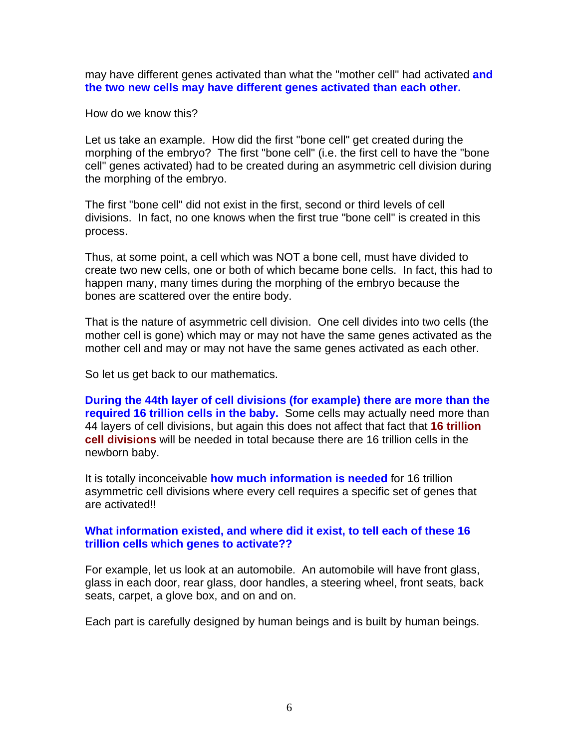may have different genes activated than what the "mother cell" had activated **and the two new cells may have different genes activated than each other.**

How do we know this?

Let us take an example. How did the first "bone cell" get created during the morphing of the embryo? The first "bone cell" (i.e. the first cell to have the "bone cell" genes activated) had to be created during an asymmetric cell division during the morphing of the embryo.

The first "bone cell" did not exist in the first, second or third levels of cell divisions. In fact, no one knows when the first true "bone cell" is created in this process.

Thus, at some point, a cell which was NOT a bone cell, must have divided to create two new cells, one or both of which became bone cells. In fact, this had to happen many, many times during the morphing of the embryo because the bones are scattered over the entire body.

That is the nature of asymmetric cell division. One cell divides into two cells (the mother cell is gone) which may or may not have the same genes activated as the mother cell and may or may not have the same genes activated as each other.

So let us get back to our mathematics.

**During the 44th layer of cell divisions (for example) there are more than the required 16 trillion cells in the baby.** Some cells may actually need more than 44 layers of cell divisions, but again this does not affect that fact that **16 trillion cell divisions** will be needed in total because there are 16 trillion cells in the newborn baby.

It is totally inconceivable **how much information is needed** for 16 trillion asymmetric cell divisions where every cell requires a specific set of genes that are activated!!

### **What information existed, and where did it exist, to tell each of these 16 trillion cells which genes to activate??**

For example, let us look at an automobile. An automobile will have front glass, glass in each door, rear glass, door handles, a steering wheel, front seats, back seats, carpet, a glove box, and on and on.

Each part is carefully designed by human beings and is built by human beings.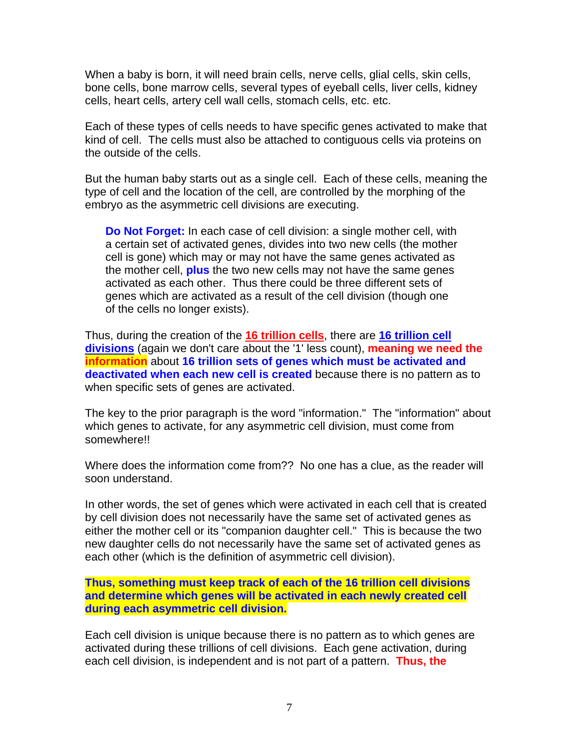When a baby is born, it will need brain cells, nerve cells, glial cells, skin cells, bone cells, bone marrow cells, several types of eyeball cells, liver cells, kidney cells, heart cells, artery cell wall cells, stomach cells, etc. etc.

Each of these types of cells needs to have specific genes activated to make that kind of cell. The cells must also be attached to contiguous cells via proteins on the outside of the cells.

But the human baby starts out as a single cell. Each of these cells, meaning the type of cell and the location of the cell, are controlled by the morphing of the embryo as the asymmetric cell divisions are executing.

**Do Not Forget:** In each case of cell division: a single mother cell, with a certain set of activated genes, divides into two new cells (the mother cell is gone) which may or may not have the same genes activated as the mother cell, **plus** the two new cells may not have the same genes activated as each other. Thus there could be three different sets of genes which are activated as a result of the cell division (though one of the cells no longer exists).

Thus, during the creation of the **16 trillion cells**, there are **16 trillion cell divisions** (again we don't care about the '1' less count), **meaning we need the information** about **16 trillion sets of genes which must be activated and deactivated when each new cell is created** because there is no pattern as to when specific sets of genes are activated.

The key to the prior paragraph is the word "information." The "information" about which genes to activate, for any asymmetric cell division, must come from somewhere!!

Where does the information come from?? No one has a clue, as the reader will soon understand.

In other words, the set of genes which were activated in each cell that is created by cell division does not necessarily have the same set of activated genes as either the mother cell or its "companion daughter cell." This is because the two new daughter cells do not necessarily have the same set of activated genes as each other (which is the definition of asymmetric cell division).

**Thus, something must keep track of each of the 16 trillion cell divisions and determine which genes will be activated in each newly created cell during each asymmetric cell division.** 

Each cell division is unique because there is no pattern as to which genes are activated during these trillions of cell divisions. Each gene activation, during each cell division, is independent and is not part of a pattern. **Thus, the**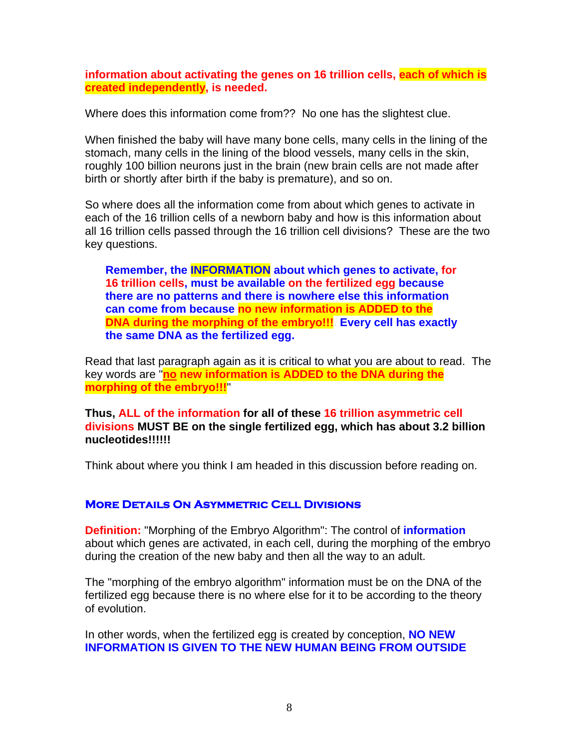**information about activating the genes on 16 trillion cells, each of which is created independently, is needed.**

Where does this information come from?? No one has the slightest clue.

When finished the baby will have many bone cells, many cells in the lining of the stomach, many cells in the lining of the blood vessels, many cells in the skin, roughly 100 billion neurons just in the brain (new brain cells are not made after birth or shortly after birth if the baby is premature), and so on.

So where does all the information come from about which genes to activate in each of the 16 trillion cells of a newborn baby and how is this information about all 16 trillion cells passed through the 16 trillion cell divisions? These are the two key questions.

**Remember, the INFORMATION about which genes to activate, for 16 trillion cells, must be available on the fertilized egg because there are no patterns and there is nowhere else this information can come from because no new information is ADDED to the DNA during the morphing of the embryo!!! Every cell has exactly the same DNA as the fertilized egg.** 

Read that last paragraph again as it is critical to what you are about to read. The key words are "**no new information is ADDED to the DNA during the morphing of the embryo!!!**"

**Thus, ALL of the information for all of these 16 trillion asymmetric cell divisions MUST BE on the single fertilized egg, which has about 3.2 billion nucleotides!!!!!!** 

Think about where you think I am headed in this discussion before reading on.

### **More Details On Asymmetric Cell Divisions**

**Definition:** "Morphing of the Embryo Algorithm": The control of **information** about which genes are activated, in each cell, during the morphing of the embryo during the creation of the new baby and then all the way to an adult.

The "morphing of the embryo algorithm" information must be on the DNA of the fertilized egg because there is no where else for it to be according to the theory of evolution.

In other words, when the fertilized egg is created by conception, **NO NEW INFORMATION IS GIVEN TO THE NEW HUMAN BEING FROM OUTSIDE**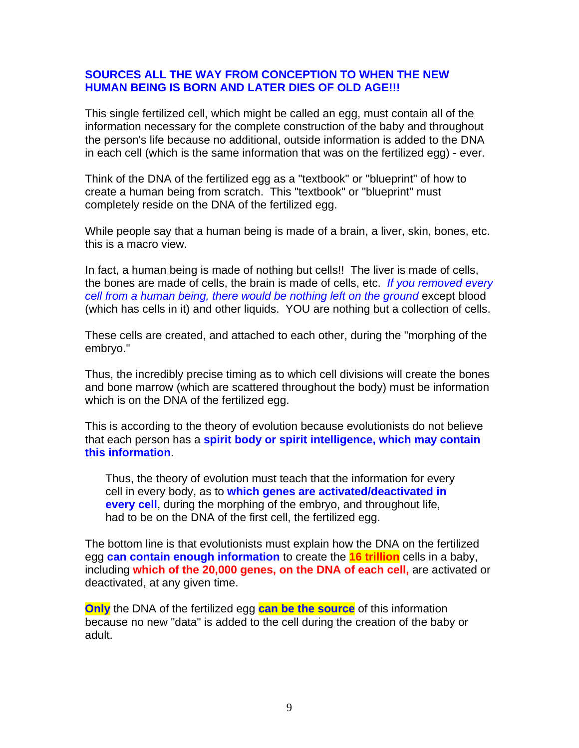### **SOURCES ALL THE WAY FROM CONCEPTION TO WHEN THE NEW HUMAN BEING IS BORN AND LATER DIES OF OLD AGE!!!**

This single fertilized cell, which might be called an egg, must contain all of the information necessary for the complete construction of the baby and throughout the person's life because no additional, outside information is added to the DNA in each cell (which is the same information that was on the fertilized egg) - ever.

Think of the DNA of the fertilized egg as a "textbook" or "blueprint" of how to create a human being from scratch. This "textbook" or "blueprint" must completely reside on the DNA of the fertilized egg.

While people say that a human being is made of a brain, a liver, skin, bones, etc. this is a macro view.

In fact, a human being is made of nothing but cells!! The liver is made of cells, the bones are made of cells, the brain is made of cells, etc. *If you removed every cell from a human being, there would be nothing left on the ground* except blood (which has cells in it) and other liquids. YOU are nothing but a collection of cells.

These cells are created, and attached to each other, during the "morphing of the embryo."

Thus, the incredibly precise timing as to which cell divisions will create the bones and bone marrow (which are scattered throughout the body) must be information which is on the DNA of the fertilized egg.

This is according to the theory of evolution because evolutionists do not believe that each person has a **spirit body or spirit intelligence, which may contain this information**.

Thus, the theory of evolution must teach that the information for every cell in every body, as to **which genes are activated/deactivated in every cell**, during the morphing of the embryo, and throughout life, had to be on the DNA of the first cell, the fertilized egg.

The bottom line is that evolutionists must explain how the DNA on the fertilized egg **can contain enough information** to create the **16 trillion** cells in a baby, including **which of the 20,000 genes, on the DNA of each cell,** are activated or deactivated, at any given time.

**Only** the DNA of the fertilized egg **can be the source** of this information because no new "data" is added to the cell during the creation of the baby or adult.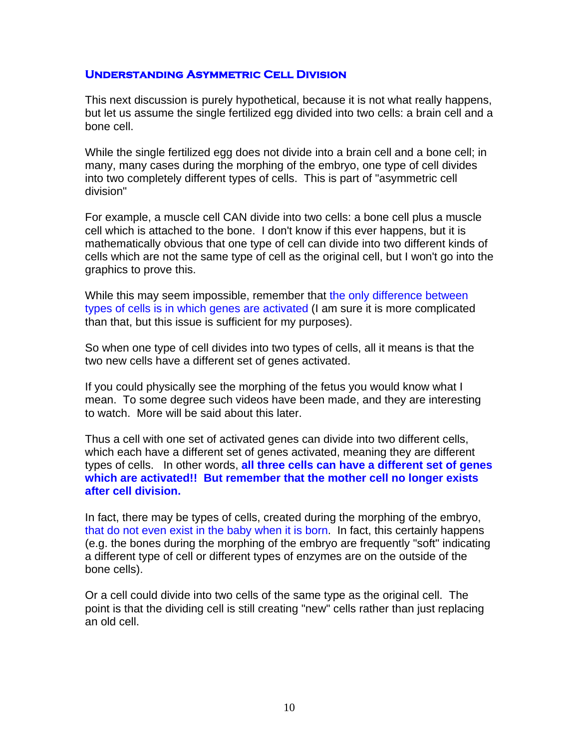#### **Understanding Asymmetric Cell Division**

This next discussion is purely hypothetical, because it is not what really happens, but let us assume the single fertilized egg divided into two cells: a brain cell and a bone cell.

While the single fertilized egg does not divide into a brain cell and a bone cell; in many, many cases during the morphing of the embryo, one type of cell divides into two completely different types of cells. This is part of "asymmetric cell division"

For example, a muscle cell CAN divide into two cells: a bone cell plus a muscle cell which is attached to the bone. I don't know if this ever happens, but it is mathematically obvious that one type of cell can divide into two different kinds of cells which are not the same type of cell as the original cell, but I won't go into the graphics to prove this.

While this may seem impossible, remember that the only difference between types of cells is in which genes are activated (I am sure it is more complicated than that, but this issue is sufficient for my purposes).

So when one type of cell divides into two types of cells, all it means is that the two new cells have a different set of genes activated.

If you could physically see the morphing of the fetus you would know what I mean. To some degree such videos have been made, and they are interesting to watch. More will be said about this later.

Thus a cell with one set of activated genes can divide into two different cells, which each have a different set of genes activated, meaning they are different types of cells. In other words, **all three cells can have a different set of genes which are activated!! But remember that the mother cell no longer exists after cell division.**

In fact, there may be types of cells, created during the morphing of the embryo, that do not even exist in the baby when it is born. In fact, this certainly happens (e.g. the bones during the morphing of the embryo are frequently "soft" indicating a different type of cell or different types of enzymes are on the outside of the bone cells).

Or a cell could divide into two cells of the same type as the original cell. The point is that the dividing cell is still creating "new" cells rather than just replacing an old cell.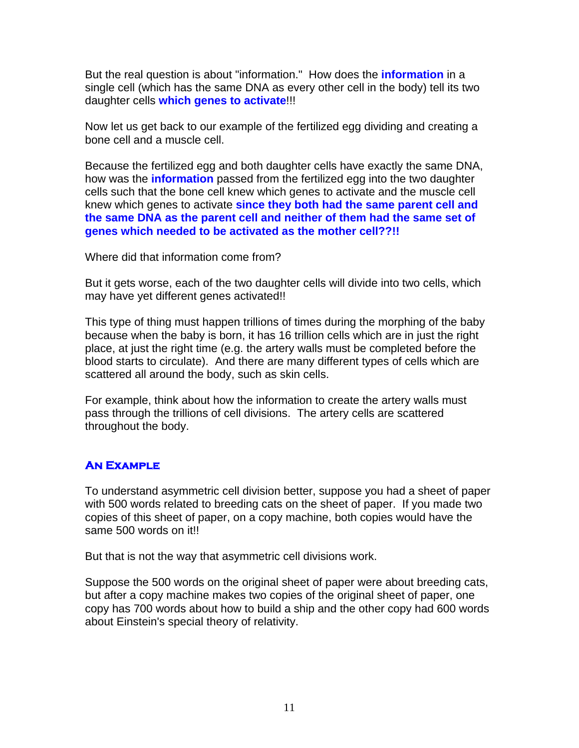But the real question is about "information." How does the **information** in a single cell (which has the same DNA as every other cell in the body) tell its two daughter cells **which genes to activate**!!!

Now let us get back to our example of the fertilized egg dividing and creating a bone cell and a muscle cell.

Because the fertilized egg and both daughter cells have exactly the same DNA, how was the **information** passed from the fertilized egg into the two daughter cells such that the bone cell knew which genes to activate and the muscle cell knew which genes to activate **since they both had the same parent cell and the same DNA as the parent cell and neither of them had the same set of genes which needed to be activated as the mother cell??!!**

Where did that information come from?

But it gets worse, each of the two daughter cells will divide into two cells, which may have yet different genes activated!!

This type of thing must happen trillions of times during the morphing of the baby because when the baby is born, it has 16 trillion cells which are in just the right place, at just the right time (e.g. the artery walls must be completed before the blood starts to circulate). And there are many different types of cells which are scattered all around the body, such as skin cells.

For example, think about how the information to create the artery walls must pass through the trillions of cell divisions. The artery cells are scattered throughout the body.

# **AN EXAMPLE**

To understand asymmetric cell division better, suppose you had a sheet of paper with 500 words related to breeding cats on the sheet of paper. If you made two copies of this sheet of paper, on a copy machine, both copies would have the same 500 words on it!!

But that is not the way that asymmetric cell divisions work.

Suppose the 500 words on the original sheet of paper were about breeding cats, but after a copy machine makes two copies of the original sheet of paper, one copy has 700 words about how to build a ship and the other copy had 600 words about Einstein's special theory of relativity.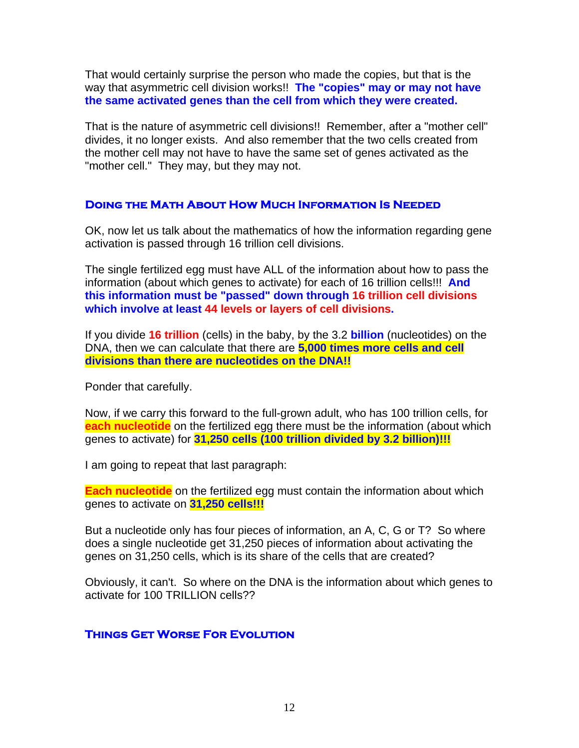That would certainly surprise the person who made the copies, but that is the way that asymmetric cell division works!! **The "copies" may or may not have the same activated genes than the cell from which they were created.**

That is the nature of asymmetric cell divisions!! Remember, after a "mother cell" divides, it no longer exists. And also remember that the two cells created from the mother cell may not have to have the same set of genes activated as the "mother cell." They may, but they may not.

#### **Doing the Math About How Much Information Is Needed**

OK, now let us talk about the mathematics of how the information regarding gene activation is passed through 16 trillion cell divisions.

The single fertilized egg must have ALL of the information about how to pass the information (about which genes to activate) for each of 16 trillion cells!!! **And this information must be "passed" down through 16 trillion cell divisions which involve at least 44 levels or layers of cell divisions.**

If you divide **16 trillion** (cells) in the baby, by the 3.2 **billion** (nucleotides) on the DNA, then we can calculate that there are **5,000 times more cells and cell divisions than there are nucleotides on the DNA!!**

Ponder that carefully.

Now, if we carry this forward to the full-grown adult, who has 100 trillion cells, for **each nucleotide** on the fertilized egg there must be the information (about which genes to activate) for **31,250 cells (100 trillion divided by 3.2 billion)!!!**

I am going to repeat that last paragraph:

**Each nucleotide** on the fertilized egg must contain the information about which genes to activate on **31,250 cells!!!**

But a nucleotide only has four pieces of information, an A, C, G or T? So where does a single nucleotide get 31,250 pieces of information about activating the genes on 31,250 cells, which is its share of the cells that are created?

Obviously, it can't. So where on the DNA is the information about which genes to activate for 100 TRILLION cells??

### **Things Get Worse For Evolution**